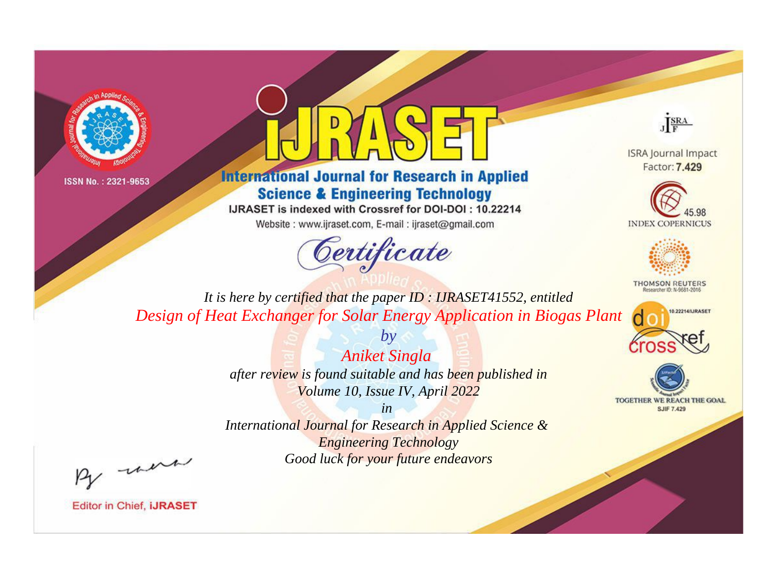



**International Journal for Research in Applied Science & Engineering Technology** 

IJRASET is indexed with Crossref for DOI-DOI: 10.22214

Website: www.ijraset.com, E-mail: ijraset@gmail.com



JERA

**ISRA Journal Impact** Factor: 7,429





**THOMSON REUTERS** 



TOGETHER WE REACH THE GOAL **SJIF 7.429** 

*It is here by certified that the paper ID : IJRASET41552, entitled Design of Heat Exchanger for Solar Energy Application in Biogas Plant*

> *Aniket Singla after review is found suitable and has been published in Volume 10, Issue IV, April 2022*

*by*

*in* 

*International Journal for Research in Applied Science & Engineering Technology Good luck for your future endeavors*

By morn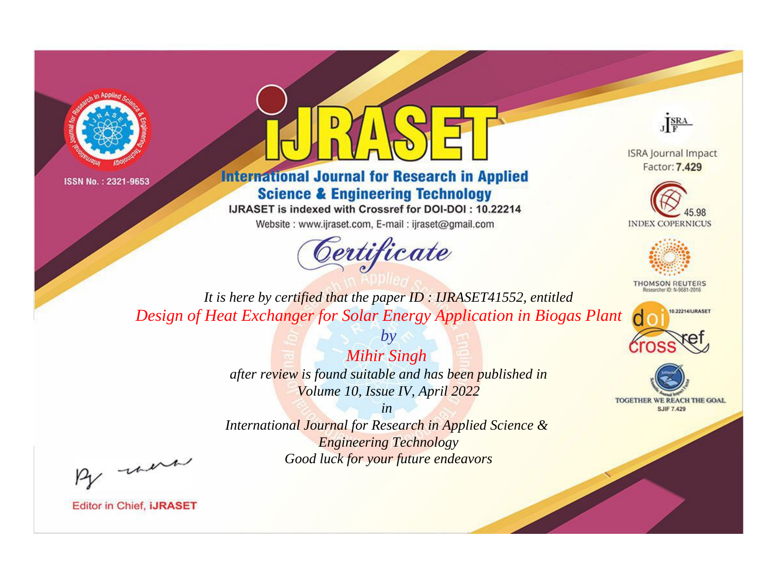



**International Journal for Research in Applied Science & Engineering Technology** 

IJRASET is indexed with Crossref for DOI-DOI: 10.22214

Website: www.ijraset.com, E-mail: ijraset@gmail.com



JERA

**ISRA Journal Impact** Factor: 7,429





**THOMSON REUTERS** 



TOGETHER WE REACH THE GOAL **SJIF 7.429** 

*It is here by certified that the paper ID : IJRASET41552, entitled Design of Heat Exchanger for Solar Energy Application in Biogas Plant*

> *by Mihir Singh*

*after review is found suitable and has been published in Volume 10, Issue IV, April 2022*

*in* 

*International Journal for Research in Applied Science & Engineering Technology Good luck for your future endeavors*

By morn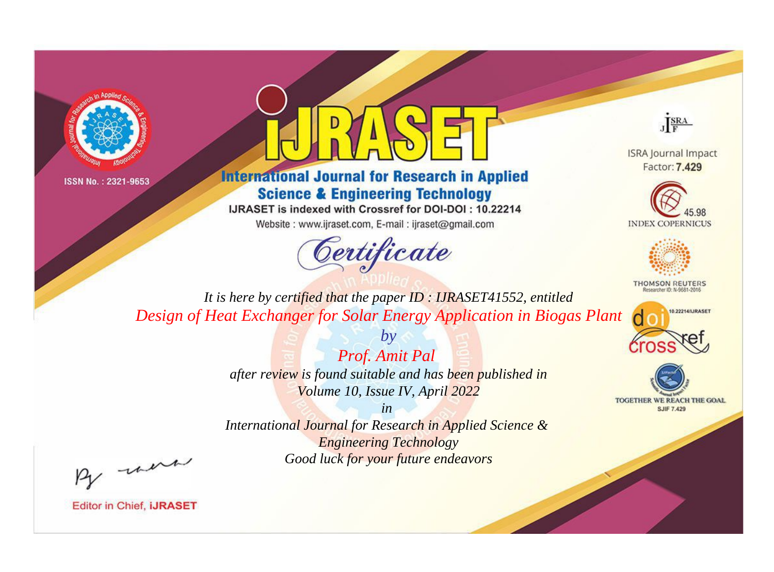



**International Journal for Research in Applied Science & Engineering Technology** 

IJRASET is indexed with Crossref for DOI-DOI: 10.22214

Website: www.ijraset.com, E-mail: ijraset@gmail.com



JERA

**ISRA Journal Impact** Factor: 7,429





**THOMSON REUTERS** 



TOGETHER WE REACH THE GOAL **SJIF 7.429** 

*It is here by certified that the paper ID : IJRASET41552, entitled Design of Heat Exchanger for Solar Energy Application in Biogas Plant*

> *Prof. Amit Pal after review is found suitable and has been published in Volume 10, Issue IV, April 2022*

*by*

*in* 

*International Journal for Research in Applied Science & Engineering Technology Good luck for your future endeavors*

By morn